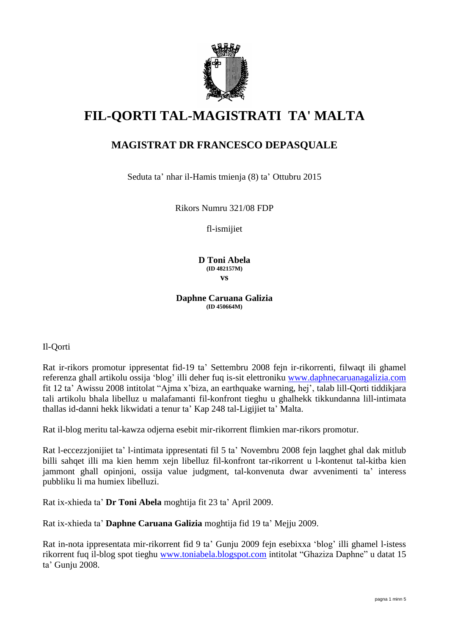

# **FIL-QORTI TAL-MAGISTRATI TA' MALTA**

# **MAGISTRAT DR FRANCESCO DEPASQUALE**

Seduta ta' nhar il-Hamis tmienja (8) ta' Ottubru 2015

Rikors Numru 321/08 FDP

fl-ismijiet

**D Toni Abela (ID 482157M) vs**

**Daphne Caruana Galizia (ID 450664M)**

Il-Qorti

Rat ir-rikors promotur ippresentat fid-19 ta' Settembru 2008 fejn ir-rikorrenti, filwaqt ili ghamel referenza ghall artikolu ossija 'blog' illi deher fuq is-sit elettroniku [www.daphnecaruanagalizia.com](http://www.daphnecaruanagalizia.com/) fit 12 ta' Awissu 2008 intitolat "Ajma x'biza, an earthquake warning, hej', talab lill-Qorti tiddikjara tali artikolu bhala libelluz u malafamanti fil-konfront tieghu u ghalhekk tikkundanna lill-intimata thallas id-danni hekk likwidati a tenur ta' Kap 248 tal-Ligijiet ta' Malta.

Rat il-blog meritu tal-kawza odjerna esebit mir-rikorrent flimkien mar-rikors promotur.

Rat l-eccezzjonijiet ta' l-intimata ippresentati fil 5 ta' Novembru 2008 fejn laqghet ghal dak mitlub billi sahqet illi ma kien hemm xejn libelluz fil-konfront tar-rikorrent u l-kontenut tal-kitba kien jammont ghall opinjoni, ossija value judgment, tal-konvenuta dwar avvenimenti ta' interess pubbliku li ma humiex libelluzi.

Rat ix-xhieda ta' **Dr Toni Abela** moghtija fit 23 ta' April 2009.

Rat ix-xhieda ta' **Daphne Caruana Galizia** moghtija fid 19 ta' Mejju 2009.

Rat in-nota ippresentata mir-rikorrent fid 9 ta' Gunju 2009 fejn esebixxa 'blog' illi ghamel l-istess rikorrent fuq il-blog spot tieghu [www.toniabela.blogspot.com](http://www.toniabela.blogspot.com/) intitolat "Ghaziza Daphne" u datat 15 ta' Gunju 2008.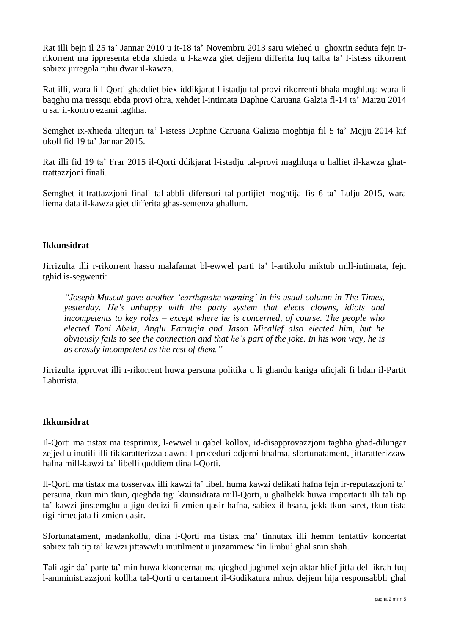Rat illi bejn il 25 ta' Jannar 2010 u it-18 ta' Novembru 2013 saru wiehed u ghoxrin seduta fejn irrikorrent ma ippresenta ebda xhieda u l-kawza giet dejjem differita fuq talba ta' l-istess rikorrent sabiex jirregola ruhu dwar il-kawza.

Rat illi, wara li l-Qorti ghaddiet biex iddikjarat l-istadju tal-provi rikorrenti bhala maghluqa wara li baqghu ma tressqu ebda provi ohra, xehdet l-intimata Daphne Caruana Galzia fl-14 ta' Marzu 2014 u sar il-kontro ezami taghha.

Semghet ix-xhieda ulterjuri ta' l-istess Daphne Caruana Galizia moghtija fil 5 ta' Mejju 2014 kif ukoll fid 19 ta' Jannar 2015.

Rat illi fid 19 ta' Frar 2015 il-Qorti ddikjarat l-istadju tal-provi maghluqa u halliet il-kawza ghattrattazzjoni finali.

Semghet it-trattazzjoni finali tal-abbli difensuri tal-partijiet moghtija fis 6 ta' Lulju 2015, wara liema data il-kawza giet differita ghas-sentenza ghallum.

## **Ikkunsidrat**

Jirrizulta illi r-rikorrent hassu malafamat bl-ewwel parti ta' l-artikolu miktub mill-intimata, fejn tghid is-segwenti:

*"Joseph Muscat gave another 'earthquake warning' in his usual column in The Times, yesterday. He's unhappy with the party system that elects clowns, idiots and incompetents to key roles – except where he is concerned, of course. The people who elected Toni Abela, Anglu Farrugia and Jason Micallef also elected him, but he obviously fails to see the connection and that he's part of the joke. In his won way, he is as crassly incompetent as the rest of them."*

Jirrizulta ippruvat illi r-rikorrent huwa persuna politika u li ghandu kariga uficjali fi hdan il-Partit Laburista.

#### **Ikkunsidrat**

Il-Qorti ma tistax ma tesprimix, l-ewwel u qabel kollox, id-disapprovazzjoni taghha ghad-dilungar zejjed u inutili illi tikkaratterizza dawna l-proceduri odjerni bhalma, sfortunatament, jittaratterizzaw hafna mill-kawzi ta' libelli quddiem dina l-Qorti.

Il-Qorti ma tistax ma tosservax illi kawzi ta' libell huma kawzi delikati hafna fejn ir-reputazzjoni ta' persuna, tkun min tkun, qieghda tigi kkunsidrata mill-Qorti, u ghalhekk huwa importanti illi tali tip ta' kawzi jinstemghu u jigu decizi fi zmien qasir hafna, sabiex il-hsara, jekk tkun saret, tkun tista tigi rimedjata fi zmien qasir.

Sfortunatament, madankollu, dina l-Qorti ma tistax ma' tinnutax illi hemm tentattiv koncertat sabiex tali tip ta' kawzi jittawwlu inutilment u jinzammew 'in limbu' ghal snin shah.

Tali agir da' parte ta' min huwa kkoncernat ma qieghed jaghmel xejn aktar hlief jitfa dell ikrah fuq l-amministrazzjoni kollha tal-Qorti u certament il-Gudikatura mhux dejjem hija responsabbli ghal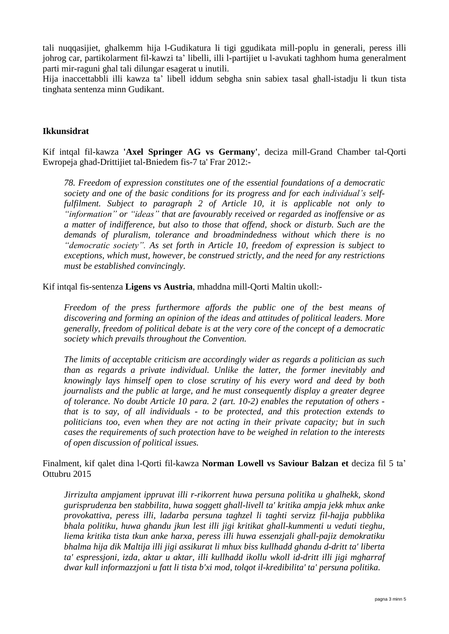tali nuqqasijiet, ghalkemm hija l-Gudikatura li tigi ggudikata mill-poplu in generali, peress illi johrog car, partikolarment fil-kawzi ta' libelli, illi l-partijiet u l-avukati taghhom huma generalment parti mir-raguni ghal tali dilungar esagerat u inutili.

Hija inaccettabbli illi kawza ta' libell iddum sebgha snin sabiex tasal ghall-istadju li tkun tista tinghata sentenza minn Gudikant.

#### **Ikkunsidrat**

Kif intqal fil-kawza **'Axel Springer AG vs Germany'**, deciza mill-Grand Chamber tal-Qorti Ewropeja ghad-Drittijiet tal-Bniedem fis-7 ta' Frar 2012:-

*78. Freedom of expression constitutes one of the essential foundations of a democratic society and one of the basic conditions for its progress and for each individual's selffulfilment. Subject to paragraph 2 of Article 10, it is applicable not only to "information" or "ideas" that are favourably received or regarded as inoffensive or as a matter of indifference, but also to those that offend, shock or disturb. Such are the demands of pluralism, tolerance and broadmindedness without which there is no "democratic society". As set forth in Article 10, freedom of expression is subject to exceptions, which must, however, be construed strictly, and the need for any restrictions must be established convincingly.*

Kif intqal fis-sentenza **Ligens vs Austria**, mhaddna mill-Qorti Maltin ukoll:-

*Freedom of the press furthermore affords the public one of the best means of discovering and forming an opinion of the ideas and attitudes of political leaders. More generally, freedom of political debate is at the very core of the concept of a democratic society which prevails throughout the Convention.*

*The limits of acceptable criticism are accordingly wider as regards a politician as such than as regards a private individual. Unlike the latter, the former inevitably and knowingly lays himself open to close scrutiny of his every word and deed by both journalists and the public at large, and he must consequently display a greater degree of tolerance. No doubt Article 10 para. 2 (art. 10-2) enables the reputation of others that is to say, of all individuals - to be protected, and this protection extends to politicians too, even when they are not acting in their private capacity; but in such cases the requirements of such protection have to be weighed in relation to the interests of open discussion of political issues.*

Finalment, kif qalet dina l-Qorti fil-kawza **Norman Lowell vs Saviour Balzan et** deciza fil 5 ta' Ottubru 2015

*Jirrizulta ampjament ippruvat illi r-rikorrent huwa persuna politika u ghalhekk, skond gurisprudenza ben stabbilita, huwa soggett ghall-livell ta' kritika ampja jekk mhux anke provokattiva, peress illi, ladarba persuna taghzel li taghti servizz fil-hajja pubblika bhala politiku, huwa ghandu jkun lest illi jigi kritikat ghall-kummenti u veduti tieghu, liema kritika tista tkun anke harxa, peress illi huwa essenzjali ghall-pajiz demokratiku bhalma hija dik Maltija illi jigi assikurat li mhux biss kullhadd ghandu d-dritt ta' liberta ta' espressjoni, izda, aktar u aktar, illi kullhadd ikollu wkoll id-dritt illi jigi mgharraf dwar kull informazzjoni u fatt li tista b'xi mod, tolqot il-kredibilita' ta' persuna politika.*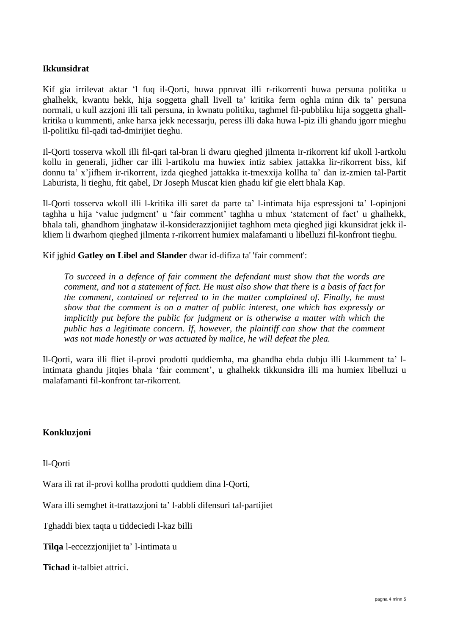### **Ikkunsidrat**

Kif gia irrilevat aktar 'l fuq il-Qorti, huwa ppruvat illi r-rikorrenti huwa persuna politika u ghalhekk, kwantu hekk, hija soggetta ghall livell ta' kritika ferm oghla minn dik ta' persuna normali, u kull azzjoni illi tali persuna, in kwnatu politiku, taghmel fil-pubbliku hija soggetta ghallkritika u kummenti, anke harxa jekk necessarju, peress illi daka huwa l-piz illi ghandu jgorr mieghu il-politiku fil-qadi tad-dmirijiet tieghu.

Il-Qorti tosserva wkoll illi fil-qari tal-bran li dwaru qieghed jilmenta ir-rikorrent kif ukoll l-artkolu kollu in generali, jidher car illi l-artikolu ma huwiex intiz sabiex jattakka lir-rikorrent biss, kif donnu ta' x'jifhem ir-rikorrent, izda qieghed jattakka it-tmexxija kollha ta' dan iz-zmien tal-Partit Laburista, li tieghu, ftit qabel, Dr Joseph Muscat kien ghadu kif gie elett bhala Kap.

Il-Qorti tosserva wkoll illi l-kritika illi saret da parte ta' l-intimata hija espressjoni ta' l-opinjoni taghha u hija 'value judgment' u 'fair comment' taghha u mhux 'statement of fact' u ghalhekk, bhala tali, ghandhom jinghataw il-konsiderazzjonijiet taghhom meta qieghed jigi kkunsidrat jekk ilkliem li dwarhom qieghed jilmenta r-rikorrent humiex malafamanti u libelluzi fil-konfront tieghu.

Kif jghid **Gatley on Libel and Slander** dwar id-difiza ta' 'fair comment':

*To succeed in a defence of fair comment the defendant must show that the words are comment, and not a statement of fact. He must also show that there is a basis of fact for the comment, contained or referred to in the matter complained of. Finally, he must show that the comment is on a matter of public interest, one which has expressly or implicitly put before the public for judgment or is otherwise a matter with which the public has a legitimate concern. If, however, the plaintiff can show that the comment was not made honestly or was actuated by malice, he will defeat the plea.*

Il-Qorti, wara illi fliet il-provi prodotti quddiemha, ma ghandha ebda dubju illi l-kumment ta' lintimata ghandu jitqies bhala 'fair comment', u ghalhekk tikkunsidra illi ma humiex libelluzi u malafamanti fil-konfront tar-rikorrent.

#### **Konkluzjoni**

Il-Qorti

Wara ili rat il-provi kollha prodotti quddiem dina l-Qorti,

Wara illi semghet it-trattazzjoni ta' l-abbli difensuri tal-partijiet

Tghaddi biex taqta u tiddeciedi l-kaz billi

**Tilqa** l-eccezzjonijiet ta' l-intimata u

**Tichad** it-talbiet attrici.